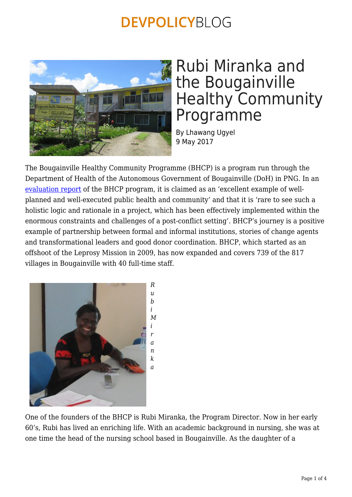

## Rubi Miranka and the Bougainville Healthy Community Programme

By Lhawang Ugyel 9 May 2017

The Bougainville Healthy Community Programme (BHCP) is a program run through the Department of Health of the Autonomous Government of Bougainville (DoH) in PNG. In an [evaluation report](http://www.oecd.org/derec/newzealand/NEWZEALAND_Evaluation%20Report%20for%20the%20Bougainville%20Healthy%20Community%20Project.pdf) of the BHCP program, it is claimed as an 'excellent example of wellplanned and well-executed public health and community' and that it is 'rare to see such a holistic logic and rationale in a project, which has been effectively implemented within the enormous constraints and challenges of a post-conflict setting'. BHCP's journey is a positive example of partnership between formal and informal institutions, stories of change agents and transformational leaders and good donor coordination. BHCP, which started as an offshoot of the Leprosy Mission in 2009, has now expanded and covers 739 of the 817 villages in Bougainville with 40 full-time staff.



One of the founders of the BHCP is Rubi Miranka, the Program Director. Now in her early 60's, Rubi has lived an enriching life. With an academic background in nursing, she was at one time the head of the nursing school based in Bougainville. As the daughter of a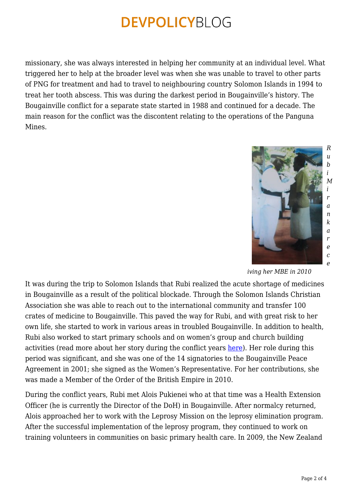missionary, she was always interested in helping her community at an individual level. What triggered her to help at the broader level was when she was unable to travel to other parts of PNG for treatment and had to travel to neighbouring country Solomon Islands in 1994 to treat her tooth abscess. This was during the darkest period in Bougainville's history. The Bougainville conflict for a separate state started in 1988 and continued for a decade. The main reason for the conflict was the discontent relating to the operations of the Panguna Mines.



*iving her MBE in 2010*

It was during the trip to Solomon Islands that Rubi realized the acute shortage of medicines in Bougainville as a result of the political blockade. Through the Solomon Islands Christian Association she was able to reach out to the international community and transfer 100 crates of medicine to Bougainville. This paved the way for Rubi, and with great risk to her own life, she started to work in various areas in troubled Bougainville. In addition to health, Rubi also worked to start primary schools and on women's group and church building activities (read more about her story during the conflict years [here](http://pacificinstitute.anu.edu.au/sites/default/files/resources-links/Pandanus/As_Mothers_of_the_Land.pdf)). Her role during this period was significant, and she was one of the 14 signatories to the Bougainville Peace Agreement in 2001; she signed as the Women's Representative. For her contributions, she was made a Member of the Order of the British Empire in 2010.

During the conflict years, Rubi met Alois Pukienei who at that time was a Health Extension Officer (he is currently the Director of the DoH) in Bougainville. After normalcy returned, Alois approached her to work with the Leprosy Mission on the leprosy elimination program. After the successful implementation of the leprosy program, they continued to work on training volunteers in communities on basic primary health care. In 2009, the New Zealand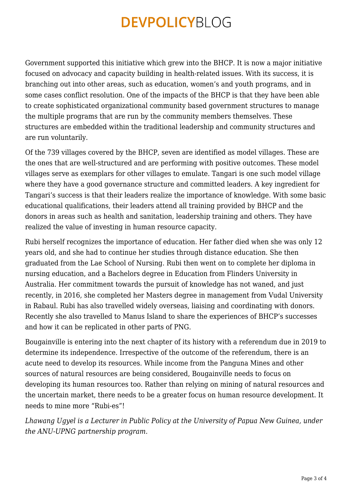Government supported this initiative which grew into the BHCP. It is now a major initiative focused on advocacy and capacity building in health-related issues. With its success, it is branching out into other areas, such as education, women's and youth programs, and in some cases conflict resolution. One of the impacts of the BHCP is that they have been able to create sophisticated organizational community based government structures to manage the multiple programs that are run by the community members themselves. These structures are embedded within the traditional leadership and community structures and are run voluntarily.

Of the 739 villages covered by the BHCP, seven are identified as model villages. These are the ones that are well-structured and are performing with positive outcomes. These model villages serve as exemplars for other villages to emulate. Tangari is one such model village where they have a good governance structure and committed leaders. A key ingredient for Tangari's success is that their leaders realize the importance of knowledge. With some basic educational qualifications, their leaders attend all training provided by BHCP and the donors in areas such as health and sanitation, leadership training and others. They have realized the value of investing in human resource capacity.

Rubi herself recognizes the importance of education. Her father died when she was only 12 years old, and she had to continue her studies through distance education. She then graduated from the Lae School of Nursing. Rubi then went on to complete her diploma in nursing education, and a Bachelors degree in Education from Flinders University in Australia. Her commitment towards the pursuit of knowledge has not waned, and just recently, in 2016, she completed her Masters degree in management from Vudal University in Rabaul. Rubi has also travelled widely overseas, liaising and coordinating with donors. Recently she also travelled to Manus Island to share the experiences of BHCP's successes and how it can be replicated in other parts of PNG.

Bougainville is entering into the next chapter of its history with a referendum due in 2019 to determine its independence. Irrespective of the outcome of the referendum, there is an acute need to develop its resources. While income from the Panguna Mines and other sources of natural resources are being considered, Bougainville needs to focus on developing its human resources too. Rather than relying on mining of natural resources and the uncertain market, there needs to be a greater focus on human resource development. It needs to mine more "Rubi-es"!

*Lhawang Ugyel is a Lecturer in Public Policy at the University of Papua New Guinea, under the ANU-UPNG partnership program.*